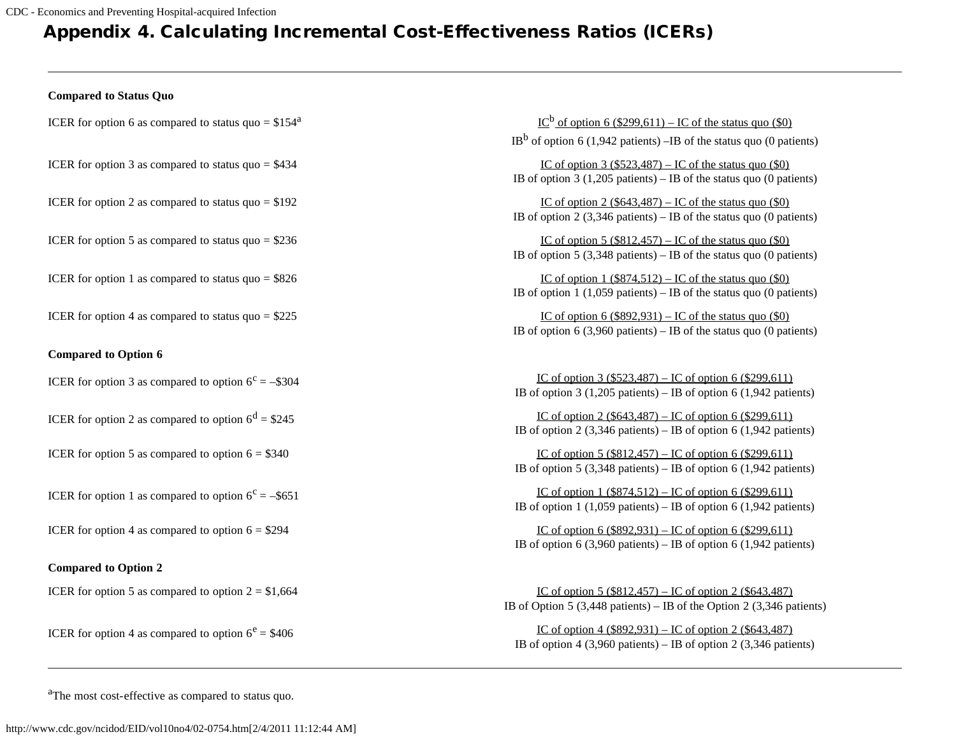## Appendix 4. Calculating Incremental Cost-Effectiveness Ratios (ICERs)

## **Compared to Status Quo**

| ICER for option 6 as compared to status quo = $$154a$        | $IC^b$ of option 6 (\$299,611) – IC of the status quo (\$0)<br>$IBb$ of option 6 (1,942 patients) –IB of the status quo (0 patients)                     |
|--------------------------------------------------------------|----------------------------------------------------------------------------------------------------------------------------------------------------------|
| ICER for option 3 as compared to status $\eta$ uo = \$434    | IC of option $3$ (\$523,487) – IC of the status quo (\$0)<br>IB of option $3(1,205$ patients) – IB of the status quo (0 patients)                        |
| ICER for option 2 as compared to status $\eta$ uo = \$192    | IC of option $2$ (\$643,487) – IC of the status quo (\$0)<br>IB of option 2 (3,346 patients) – IB of the status quo (0 patients)                         |
| ICER for option 5 as compared to status $\eta$ uo = \$236    | IC of option $5$ (\$812,457) – IC of the status quo (\$0)<br>IB of option 5 $(3,348 \text{ patients}) -$ IB of the status quo $(0 \text{ patients})$     |
| ICER for option 1 as compared to status $\eta$ uo = \$826    | IC of option $1$ (\$874,512) – IC of the status quo (\$0)<br>IB of option 1 (1,059 patients) – IB of the status quo (0 patients)                         |
| ICER for option 4 as compared to status $\eta$ uo = \$225    | IC of option 6 $(\$892,931) - IC$ of the status quo $(\$0)$<br>IB of option 6 (3,960 patients) – IB of the status quo (0 patients)                       |
| <b>Compared to Option 6</b>                                  |                                                                                                                                                          |
| ICER for option 3 as compared to option $6^{\circ} = -\$304$ | <u>IC of option 3 (\$523,487)</u> – IC of option 6 (\$299,611)<br>IB of option 3 (1,205 patients) – IB of option 6 (1,942 patients)                      |
| ICER for option 2 as compared to option $6^d = $245$         | <u>IC of option 2 (\$643,487)</u> – IC of option 6 (\$299,611)<br>IB of option 2 (3,346 patients) – IB of option 6 (1,942 patients)                      |
| ICER for option 5 as compared to option $6 = $340$           | <u>IC of option 5 (\$812,457)</u> – IC of option 6 (\$299,611)<br>IB of option 5 (3,348 patients) – IB of option 6 (1,942 patients)                      |
| ICER for option 1 as compared to option $6^{\circ} = -\$651$ | IC of option $1$ (\$874,512) – IC of option 6 (\$299,611)<br>IB of option 1 (1,059 patients) – IB of option 6 (1,942 patients)                           |
| ICER for option 4 as compared to option $6 = $294$           | IC of option 6 $(\$92,931) - IC$ of option 6 $(\$299,611)$<br>IB of option 6 (3,960 patients) – IB of option 6 (1,942 patients)                          |
| <b>Compared to Option 2</b>                                  |                                                                                                                                                          |
| ICER for option 5 as compared to option $2 = $1,664$         | IC of option 5 $(\$812,457) - IC$ of option 2 $(\$643,487)$<br>IB of Option 5 $(3,448 \text{ patients}) -$ IB of the Option 2 $(3,346 \text{ patients})$ |
| ICER for option 4 as compared to option $6^e = $406$         | <u>IC of option 4 (\$892,931)</u> – IC of option 2 (\$643,487)<br>IB of option 4 (3,960 patients) – IB of option 2 (3,346 patients)                      |

<sup>a</sup>The most cost-effective as compared to status quo.